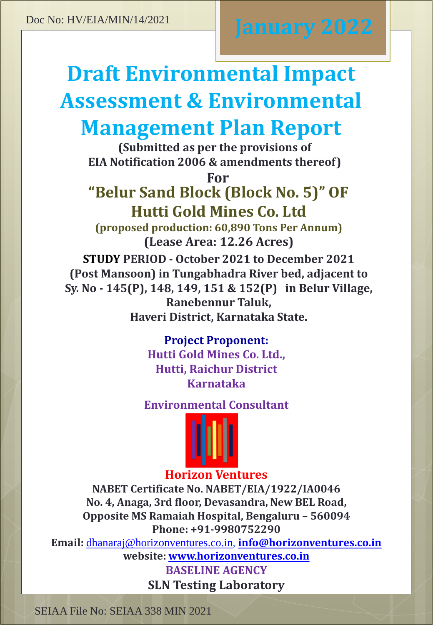# **Draft Environmental Impact Assessment & Environmental Management Plan Report**

**(Submitted as per the provisions of EIA Notification 2006 & amendments thereof)** 

**For**

## **"Belur Sand Block (Block No. 5)" OF Hutti Gold Mines Co. Ltd**

**(proposed production: 60,890 Tons Per Annum) (Lease Area: 12.26 Acres)**

**STUDY PERIOD - October 2021 to December 2021 (Post Mansoon) in Tungabhadra River bed, adjacent to Sy. No - 145(P), 148, 149, 151 & 152(P) in Belur Village, Ranebennur Taluk, Haveri District, Karnataka State.**

### **Project Proponent:**

**Hutti Gold Mines Co. Ltd., Hutti, Raichur District Karnataka**

### **Environmental Consultant**



### **Horizon Ventures**

**NABET Certificate No. NABET/EIA/1922/IA0046 No. 4, Anaga, 3rd floor, Devasandra, New BEL Road, Opposite MS Ramaiah Hospital, Bengaluru – 560094 Phone: +91-9980752290**

**Email:** [dhanaraj@horizonventures.co.in](mailto:dhanaraj@horizonventures.co.in), **[info@horizonventures.co.in](mailto:info@horizonventures.co.in)**

**website: [www.horizonventures.co.in](http://www.horizonventures.co.in/)**

**BASELINE AGENCY SLN Testing Laboratory**

SEIAA File No: SEIAA 338 MIN 2021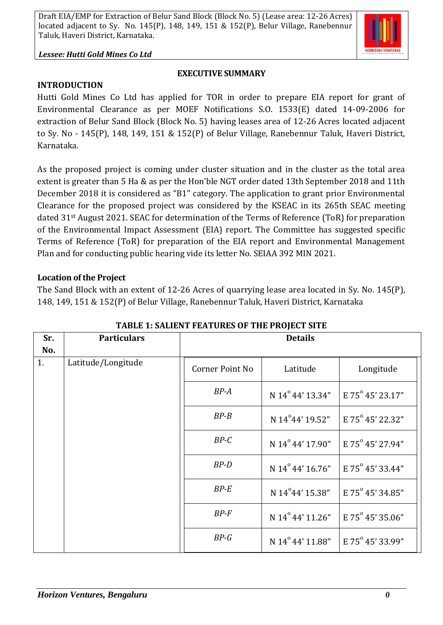

#### *Lessee: Hutti Gold Mines Co Ltd*

#### **EXECUTIVE SUMMARY**

#### **INTRODUCTION**

Hutti Gold Mines Co Ltd has applied for TOR in order to prepare EIA report for grant of Environmental Clearance as per MOEF Notifications S.O. 1533(E) dated 14-09-2006 for extraction of Belur Sand Block (Block No. 5) having leases area of 12-26 Acres located adjacent to Sy. No - 145(P), 148, 149, 151 & 152(P) of Belur Village, Ranebennur Taluk, Haveri District, Karnataka.

As the proposed project is coming under cluster situation and in the cluster as the total area extent is greater than 5 Ha & as per the Hon'ble NGT order dated 13th September 2018 and 11th December 2018 it is considered as "B1" category. The application to grant prior Environmental Clearance for the proposed project was considered by the KSEAC in its 265th SEAC meeting dated 31st August 2021. SEAC for determination of the Terms of Reference (ToR) for preparation of the Environmental Impact Assessment (EIA) report. The Committee has suggested specific Terms of Reference (ToR) for preparation of the EIA report and Environmental Management Plan and for conducting public hearing vide its letter No. SEIAA 392 MIN 2021.

#### **Location of the Project**

The Sand Block with an extent of 12-26 Acres of quarrying lease area located in Sy. No. 145(P), 148, 149, 151 & 152(P) of Belur Village, Ranebennur Taluk, Haveri District, Karnataka

| Sr. | <b>Particulars</b> | <b>Details</b>         |                              |                  |
|-----|--------------------|------------------------|------------------------------|------------------|
| No. |                    |                        |                              |                  |
| 1.  | Latitude/Longitude | <b>Corner Point No</b> | Latitude                     | Longitude        |
|     |                    | $BP-A$                 | N 14°44' 13.34"              | E 75° 45' 23.17" |
|     |                    | $BP - B$               | N 14°44' 19.52"              | E 75° 45' 22.32" |
|     |                    | $BP-C$                 | N 14° 44' 17.90"             | E 75° 45' 27.94" |
|     |                    | $BP-D$                 | N 14° 44' 16.76"             | E 75° 45' 33.44" |
|     |                    | $BP-E$                 | N 14°44' 15.38"              | E 75° 45' 34.85" |
|     |                    | $BP-F$                 | N 14° 44' 11.26"             | E 75° 45' 35.06" |
|     |                    | $BP-G$                 | N 14 <sup>°</sup> 44' 11.88" | E 75° 45' 33.99" |

**TABLE 1: SALIENT FEATURES OF THE PROJECT SITE**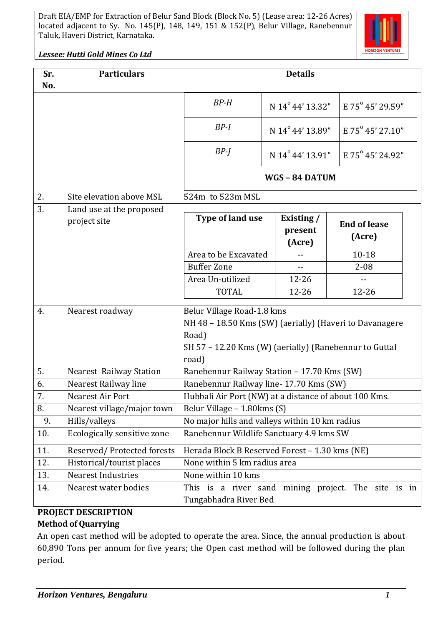

*Lessee: Hutti Gold Mines Co Ltd*

| Sr. | <b>Particulars</b>                       | <b>Details</b>                                                                                                                                                    |                                 |                               |  |
|-----|------------------------------------------|-------------------------------------------------------------------------------------------------------------------------------------------------------------------|---------------------------------|-------------------------------|--|
| No. |                                          |                                                                                                                                                                   |                                 |                               |  |
|     |                                          | $BP-H$                                                                                                                                                            | N 14° 44' 13.32"                | E 75° 45' 29.59"              |  |
|     |                                          | $BP-I$                                                                                                                                                            | N 14 <sup>°</sup> 44' 13.89"    | E 75° 45' 27.10"              |  |
|     |                                          | $BP-I$                                                                                                                                                            | N 14 <sup>°</sup> 44' 13.91"    | E $75^{\circ}$ 45' 24.92"     |  |
|     |                                          | WGS-84 DATUM                                                                                                                                                      |                                 |                               |  |
| 2.  | Site elevation above MSL                 | 524m to 523m MSL                                                                                                                                                  |                                 |                               |  |
| 3.  | Land use at the proposed<br>project site | Type of land use                                                                                                                                                  | Existing /<br>present<br>(Acre) | <b>End of lease</b><br>(Acre) |  |
|     |                                          | Area to be Excavated                                                                                                                                              |                                 | $10 - 18$                     |  |
|     |                                          | <b>Buffer Zone</b>                                                                                                                                                |                                 | $2 - 08$                      |  |
|     |                                          | Area Un-utilized                                                                                                                                                  | $12 - 26$                       |                               |  |
|     |                                          | <b>TOTAL</b>                                                                                                                                                      | $12 - 26$                       | $12 - 26$                     |  |
| 4.  | Nearest roadway                          | Belur Village Road-1.8 kms<br>NH 48 - 18.50 Kms (SW) (aerially) (Haveri to Davanagere<br>Road)<br>SH 57 - 12.20 Kms (W) (aerially) (Ranebennur to Guttal<br>road) |                                 |                               |  |
| 5.  | Nearest Railway Station                  | Ranebennur Railway Station - 17.70 Kms (SW)                                                                                                                       |                                 |                               |  |
| 6.  | Nearest Railway line                     | Ranebennur Railway line- 17.70 Kms (SW)                                                                                                                           |                                 |                               |  |
| 7.  | Nearest Air Port                         | Hubbali Air Port (NW) at a distance of about 100 Kms.                                                                                                             |                                 |                               |  |
| 8.  | Nearest village/major town               | Belur Village - 1.80 kms (S)                                                                                                                                      |                                 |                               |  |
| 9.  | Hills/valleys                            | No major hills and valleys within 10 km radius                                                                                                                    |                                 |                               |  |
| 10. | Ecologically sensitive zone              | Ranebennur Wildlife Sanctuary 4.9 kms SW                                                                                                                          |                                 |                               |  |
| 11. | Reserved/Protected forests               | Herada Block B Reserved Forest - 1.30 kms (NE)                                                                                                                    |                                 |                               |  |
| 12. | Historical/tourist places                | None within 5 km radius area                                                                                                                                      |                                 |                               |  |
| 13. | <b>Nearest Industries</b>                | None within 10 kms                                                                                                                                                |                                 |                               |  |
| 14. | Nearest water bodies                     | This is a river sand mining project. The site is in<br>Tungabhadra River Bed                                                                                      |                                 |                               |  |

#### **PROJECT DESCRIPTION**

#### **Method of Quarrying**

An open cast method will be adopted to operate the area. Since, the annual production is about 60,890 Tons per annum for five years; the Open cast method will be followed during the plan period.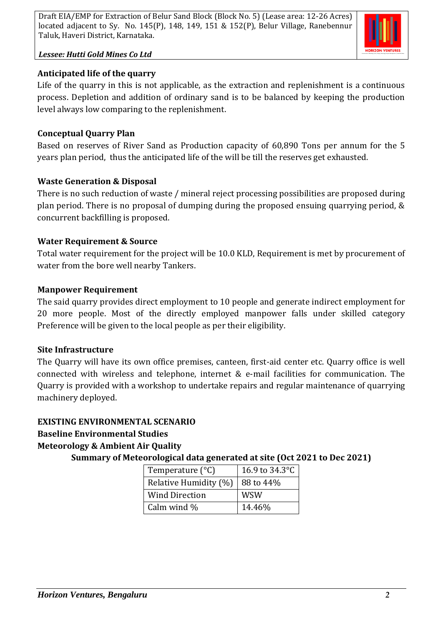

#### *Lessee: Hutti Gold Mines Co Ltd*

#### **Anticipated life of the quarry**

Life of the quarry in this is not applicable, as the extraction and replenishment is a continuous process. Depletion and addition of ordinary sand is to be balanced by keeping the production level always low comparing to the replenishment.

#### **Conceptual Quarry Plan**

Based on reserves of River Sand as Production capacity of 60,890 Tons per annum for the 5 years plan period, thus the anticipated life of the will be till the reserves get exhausted.

#### **Waste Generation & Disposal**

There is no such reduction of waste / mineral reject processing possibilities are proposed during plan period. There is no proposal of dumping during the proposed ensuing quarrying period, & concurrent backfilling is proposed.

#### **Water Requirement & Source**

Total water requirement for the project will be 10.0 KLD, Requirement is met by procurement of water from the bore well nearby Tankers.

#### **Manpower Requirement**

The said quarry provides direct employment to 10 people and generate indirect employment for 20 more people. Most of the directly employed manpower falls under skilled category Preference will be given to the local people as per their eligibility.

#### **Site Infrastructure**

The Quarry will have its own office premises, canteen, first-aid center etc. Quarry office is well connected with wireless and telephone, internet & e-mail facilities for communication. The Quarry is provided with a workshop to undertake repairs and regular maintenance of quarrying machinery deployed.

#### **EXISTING ENVIRONMENTAL SCENARIO**

#### **Baseline Environmental Studies**

#### **Meteorology & Ambient Air Quality**

**Summary of Meteorological data generated at site (Oct 2021 to Dec 2021)**

| Temperature $(^{\circ}C)$ | 16.9 to 34.3°C |  |  |
|---------------------------|----------------|--|--|
| Relative Humidity (%)     | 88 to 44%      |  |  |
| <b>Wind Direction</b>     | <b>WSW</b>     |  |  |
| Calm wind %               | 14.46%         |  |  |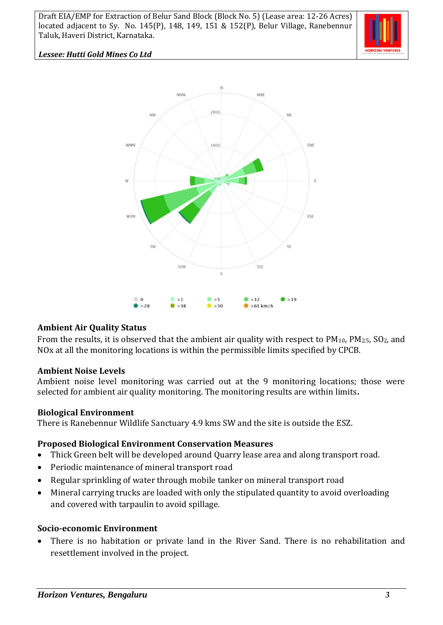

#### *Lessee: Hutti Gold Mines Co Ltd*



#### **Ambient Air Quality Status**

From the results, it is observed that the ambient air quality with respect to  $PM_{10}$ ,  $PM_{2.5}$ ,  $SO_2$ , and NOx at all the monitoring locations is within the permissible limits specified by CPCB.

#### **Ambient Noise Levels**

Ambient noise level monitoring was carried out at the 9 monitoring locations; those were selected for ambient air quality monitoring. The monitoring results are within limits**.**

#### **Biological Environment**

There is Ranebennur Wildlife Sanctuary 4.9 kms SW and the site is outside the ESZ.

#### **Proposed Biological Environment Conservation Measures**

- Thick Green belt will be developed around Quarry lease area and along transport road.
- Periodic maintenance of mineral transport road
- Regular sprinkling of water through mobile tanker on mineral transport road
- Mineral carrying trucks are loaded with only the stipulated quantity to avoid overloading and covered with tarpaulin to avoid spillage.

#### **Socio-economic Environment**

• There is no habitation or private land in the River Sand. There is no rehabilitation and resettlement involved in the project.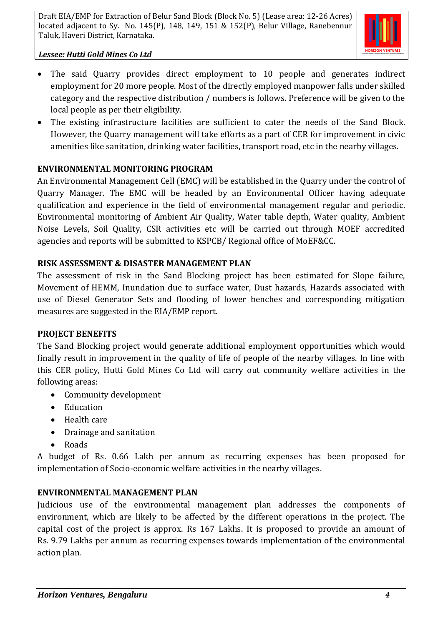

#### *Lessee: Hutti Gold Mines Co Ltd*

- The said Quarry provides direct employment to 10 people and generates indirect employment for 20 more people. Most of the directly employed manpower falls under skilled category and the respective distribution / numbers is follows. Preference will be given to the local people as per their eligibility.
- The existing infrastructure facilities are sufficient to cater the needs of the Sand Block. However, the Quarry management will take efforts as a part of CER for improvement in civic amenities like sanitation, drinking water facilities, transport road, etc in the nearby villages.

#### **ENVIRONMENTAL MONITORING PROGRAM**

An Environmental Management Cell (EMC) will be established in the Quarry under the control of Quarry Manager. The EMC will be headed by an Environmental Officer having adequate qualification and experience in the field of environmental management regular and periodic. Environmental monitoring of Ambient Air Quality, Water table depth, Water quality, Ambient Noise Levels, Soil Quality, CSR activities etc will be carried out through MOEF accredited agencies and reports will be submitted to KSPCB/ Regional office of MoEF&CC.

#### **RISK ASSESSMENT & DISASTER MANAGEMENT PLAN**

The assessment of risk in the Sand Blocking project has been estimated for Slope failure, Movement of HEMM, Inundation due to surface water, Dust hazards, Hazards associated with use of Diesel Generator Sets and flooding of lower benches and corresponding mitigation measures are suggested in the EIA/EMP report.

#### **PROJECT BENEFITS**

The Sand Blocking project would generate additional employment opportunities which would finally result in improvement in the quality of life of people of the nearby villages. In line with this CER policy, Hutti Gold Mines Co Ltd will carry out community welfare activities in the following areas:

- Community development
- Education
- Health care
- Drainage and sanitation
- Roads

A budget of Rs. 0.66 Lakh per annum as recurring expenses has been proposed for implementation of Socio-economic welfare activities in the nearby villages.

#### **ENVIRONMENTAL MANAGEMENT PLAN**

Judicious use of the environmental management plan addresses the components of environment, which are likely to be affected by the different operations in the project. The capital cost of the project is approx. Rs 167 Lakhs. It is proposed to provide an amount of Rs. 9.79 Lakhs per annum as recurring expenses towards implementation of the environmental action plan.